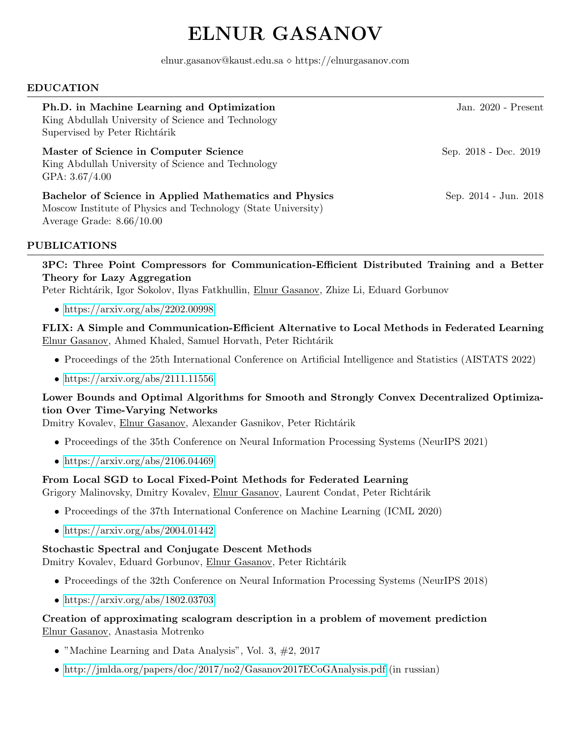# ELNUR GASANOV

elnur.gasanov@kaust.edu.sa  $\diamond$  https://elnurgasanov.com

#### EDUCATION

| Ph.D. in Machine Learning and Optimization<br>King Abdullah University of Science and Technology<br>Supervised by Peter Richtárik                      | Jan. $2020$ - Present |
|--------------------------------------------------------------------------------------------------------------------------------------------------------|-----------------------|
| Master of Science in Computer Science<br>King Abdullah University of Science and Technology<br>GPA: $3.67/4.00$                                        | Sep. 2018 - Dec. 2019 |
| Bachelor of Science in Applied Mathematics and Physics<br>Moscow Institute of Physics and Technology (State University)<br>Average Grade: $8.66/10.00$ | Sep. 2014 - Jun. 2018 |

# PUBLICATIONS

3PC: Three Point Compressors for Communication-Efficient Distributed Training and a Better Theory for Lazy Aggregation

Peter Richtárik, Igor Sokolov, Ilyas Fatkhullin, Elnur Gasanov, Zhize Li, Eduard Gorbunov

• <https://arxiv.org/abs/2202.00998>

FLIX: A Simple and Communication-Efficient Alternative to Local Methods in Federated Learning Elnur Gasanov, Ahmed Khaled, Samuel Horvath, Peter Richtárik

- Proceedings of the 25th International Conference on Artificial Intelligence and Statistics (AISTATS 2022)
- <https://arxiv.org/abs/2111.11556>

# Lower Bounds and Optimal Algorithms for Smooth and Strongly Convex Decentralized Optimization Over Time-Varying Networks

Dmitry Kovalev, Elnur Gasanov, Alexander Gasnikov, Peter Richtárik

- Proceedings of the 35th Conference on Neural Information Processing Systems (NeurIPS 2021)
- <https://arxiv.org/abs/2106.04469>

# From Local SGD to Local Fixed-Point Methods for Federated Learning

Grigory Malinovsky, Dmitry Kovalev, Elnur Gasanov, Laurent Condat, Peter Richtárik

- Proceedings of the 37th International Conference on Machine Learning (ICML 2020)
- <https://arxiv.org/abs/2004.01442>

# Stochastic Spectral and Conjugate Descent Methods

Dmitry Kovalev, Eduard Gorbunov, Elnur Gasanov, Peter Richtárik

- Proceedings of the 32th Conference on Neural Information Processing Systems (NeurIPS 2018)
- <https://arxiv.org/abs/1802.03703>

# Creation of approximating scalogram description in a problem of movement prediction Elnur Gasanov, Anastasia Motrenko

- "Machine Learning and Data Analysis", Vol. 3, #2, 2017
- <http://jmlda.org/papers/doc/2017/no2/Gasanov2017ECoGAnalysis.pdf> (in russian)